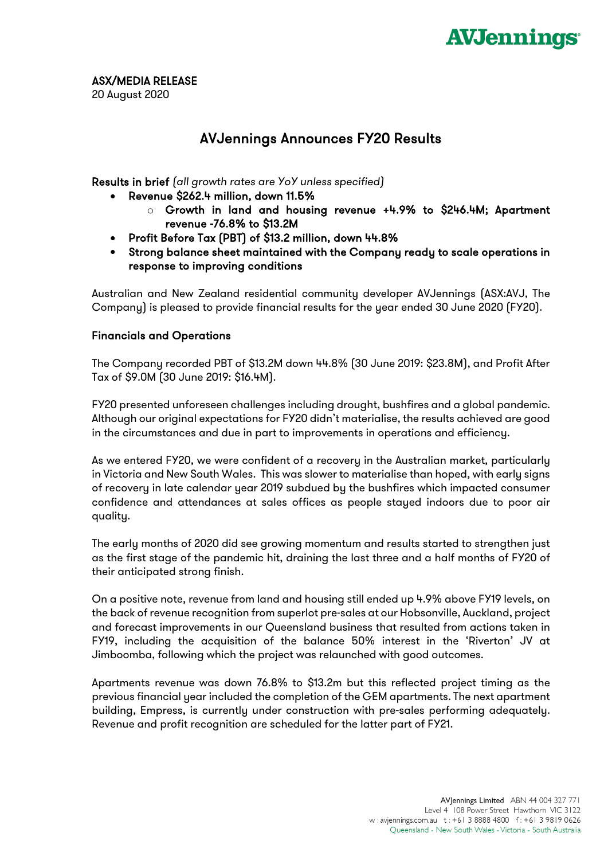

ASX/MEDIA RELEASE

20 August 2020

# AVJennings Announces FY20 Results

Results in brief *(all growth rates are YoY unless specified)*

- Revenue \$262.4 million, down 11.5%
	- o Growth in land and housing revenue +4.9% to \$246.4M; Apartment revenue -76.8% to \$13.2M
- Profit Before Tax (PBT) of \$13.2 million, down 44.8%
- Strong balance sheet maintained with the Company ready to scale operations in response to improving conditions

Australian and New Zealand residential community developer AVJennings (ASX:AVJ, The Company) is pleased to provide financial results for the year ended 30 June 2020 (FY20).

## Financials and Operations

The Company recorded PBT of \$13.2M down 44.8% (30 June 2019: \$23.8M), and Profit After Tax of \$9.0M (30 June 2019: \$16.4M).

FY20 presented unforeseen challenges including drought, bushfires and a global pandemic. Although our original expectations for FY20 didn't materialise, the results achieved are good in the circumstances and due in part to improvements in operations and efficiency.

As we entered FY20, we were confident of a recovery in the Australian market, particularly in Victoria and New South Wales. This was slower to materialise than hoped, with early signs of recovery in late calendar year 2019 subdued by the bushfires which impacted consumer confidence and attendances at sales offices as people stayed indoors due to poor air quality.

The early months of 2020 did see growing momentum and results started to strengthen just as the first stage of the pandemic hit, draining the last three and a half months of FY20 of their anticipated strong finish.

On a positive note, revenue from land and housing still ended up 4.9% above FY19 levels, on the back of revenue recognition from superlot pre-sales at our Hobsonville, Auckland, project and forecast improvements in our Queensland business that resulted from actions taken in FY19, including the acquisition of the balance 50% interest in the 'Riverton' JV at Jimboomba, following which the project was relaunched with good outcomes.

Apartments revenue was down 76.8% to \$13.2m but this reflected project timing as the previous financial year included the completion of the GEM apartments. The next apartment building, Empress, is currently under construction with pre-sales performing adequately. Revenue and profit recognition are scheduled for the latter part of FY21.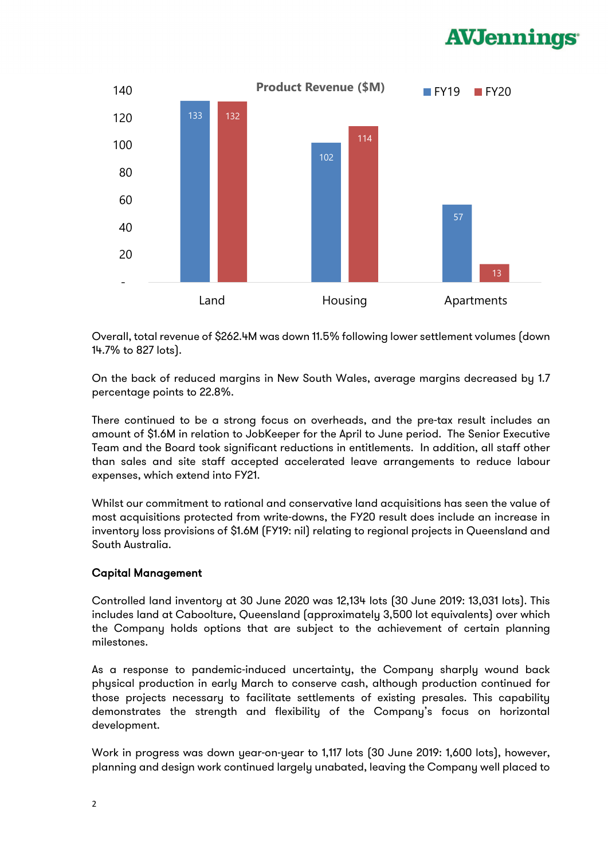# **AVJennings**



Overall, total revenue of \$262.4M was down 11.5% following lower settlement volumes (down 14.7% to 827 lots).

On the back of reduced margins in New South Wales, average margins decreased by 1.7 percentage points to 22.8%.

There continued to be a strong focus on overheads, and the pre-tax result includes an amount of \$1.6M in relation to JobKeeper for the April to June period. The Senior Executive Team and the Board took significant reductions in entitlements. In addition, all staff other than sales and site staff accepted accelerated leave arrangements to reduce labour expenses, which extend into FY21.

Whilst our commitment to rational and conservative land acquisitions has seen the value of most acquisitions protected from write-downs, the FY20 result does include an increase in inventory loss provisions of \$1.6M (FY19: nil) relating to regional projects in Queensland and South Australia.

## Capital Management

Controlled land inventory at 30 June 2020 was 12,134 lots (30 June 2019: 13,031 lots). This includes land at Caboolture, Queensland (approximately 3,500 lot equivalents) over which the Company holds options that are subject to the achievement of certain planning milestones.

As a response to pandemic-induced uncertainty, the Company sharply wound back physical production in early March to conserve cash, although production continued for those projects necessary to facilitate settlements of existing presales. This capability demonstrates the strength and flexibility of the Company's focus on horizontal development.

Work in progress was down year-on-year to 1,117 lots (30 June 2019: 1,600 lots), however, planning and design work continued largely unabated, leaving the Company well placed to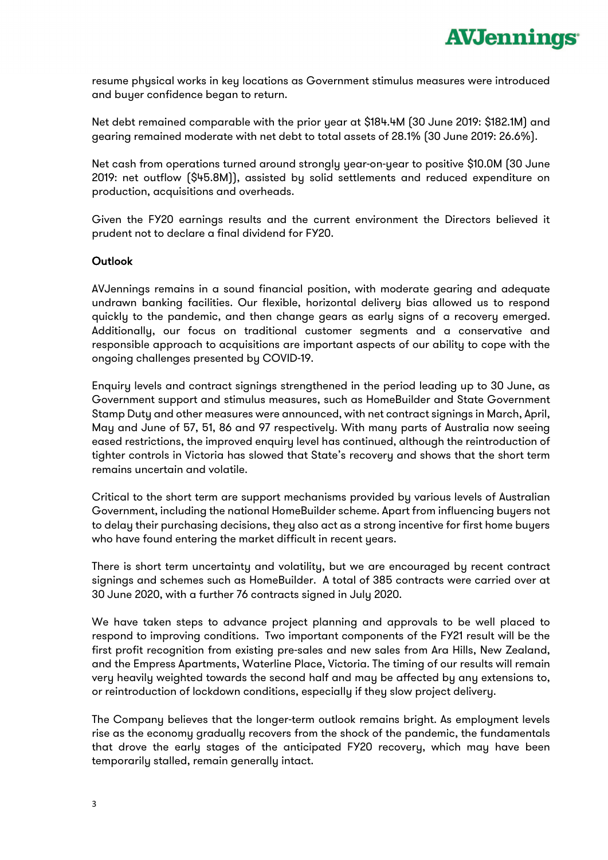resume physical works in key locations as Government stimulus measures were introduced and buyer confidence began to return.

Net debt remained comparable with the prior year at \$184.4M (30 June 2019: \$182.1M) and gearing remained moderate with net debt to total assets of 28.1% (30 June 2019: 26.6%).

Net cash from operations turned around strongly year-on-year to positive \$10.0M (30 June 2019: net outflow (\$45.8M)), assisted by solid settlements and reduced expenditure on production, acquisitions and overheads.

Given the FY20 earnings results and the current environment the Directors believed it prudent not to declare a final dividend for FY20.

#### **Outlook**

AVJennings remains in a sound financial position, with moderate gearing and adequate undrawn banking facilities. Our flexible, horizontal delivery bias allowed us to respond quickly to the pandemic, and then change gears as early signs of a recovery emerged. Additionally, our focus on traditional customer segments and a conservative and responsible approach to acquisitions are important aspects of our ability to cope with the ongoing challenges presented by COVID-19.

Enquiry levels and contract signings strengthened in the period leading up to 30 June, as Government support and stimulus measures, such as HomeBuilder and State Government Stamp Duty and other measures were announced, with net contract signings in March, April, May and June of 57, 51, 86 and 97 respectively. With many parts of Australia now seeing eased restrictions, the improved enquiry level has continued, although the reintroduction of tighter controls in Victoria has slowed that State's recovery and shows that the short term remains uncertain and volatile.

Critical to the short term are support mechanisms provided by various levels of Australian Government, including the national HomeBuilder scheme. Apart from influencing buyers not to delay their purchasing decisions, they also act as a strong incentive for first home buyers who have found entering the market difficult in recent years.

There is short term uncertainty and volatility, but we are encouraged by recent contract signings and schemes such as HomeBuilder. A total of 385 contracts were carried over at 30 June 2020, with a further 76 contracts signed in July 2020.

We have taken steps to advance project planning and approvals to be well placed to respond to improving conditions. Two important components of the FY21 result will be the first profit recognition from existing pre-sales and new sales from Ara Hills, New Zealand, and the Empress Apartments, Waterline Place, Victoria. The timing of our results will remain very heavily weighted towards the second half and may be affected by any extensions to, or reintroduction of lockdown conditions, especially if they slow project delivery.

The Company believes that the longer-term outlook remains bright. As employment levels rise as the economy gradually recovers from the shock of the pandemic, the fundamentals that drove the early stages of the anticipated FY20 recovery, which may have been temporarily stalled, remain generally intact.